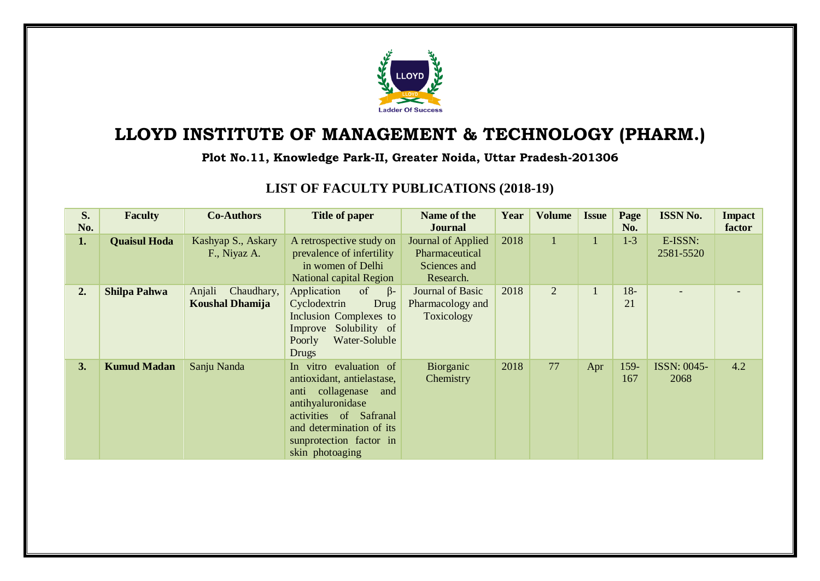

## **LLOYD INSTITUTE OF MANAGEMENT & TECHNOLOGY (PHARM.)**

## **Plot No.11, Knowledge Park-II, Greater Noida, Uttar Pradesh-201306**

## **LIST OF FACULTY PUBLICATIONS (2018-19)**

| S.<br>No. | <b>Faculty</b>      | <b>Co-Authors</b>                              | <b>Title of paper</b>                                                                                                                                                                                    | Name of the<br><b>Journal</b>                                     | Year | <b>Volume</b> | <b>Issue</b> | Page<br>No. | <b>ISSN No.</b>            | <b>Impact</b><br>factor |
|-----------|---------------------|------------------------------------------------|----------------------------------------------------------------------------------------------------------------------------------------------------------------------------------------------------------|-------------------------------------------------------------------|------|---------------|--------------|-------------|----------------------------|-------------------------|
| 1.        | <b>Quaisul Hoda</b> | Kashyap S., Askary<br>F., Niyaz A.             | A retrospective study on<br>prevalence of infertility<br>in women of Delhi<br><b>National capital Region</b>                                                                                             | Journal of Applied<br>Pharmaceutical<br>Sciences and<br>Research. | 2018 | $\mathbf{1}$  |              | $1 - 3$     | E-ISSN:<br>2581-5520       |                         |
| 2.        | <b>Shilpa Pahwa</b> | Anjali<br>Chaudhary,<br><b>Koushal Dhamija</b> | Application<br>$\beta$ -<br>of<br>Cyclodextrin<br>Drug<br>Inclusion Complexes to<br>Improve Solubility of<br>Water-Soluble<br>Poorly<br>Drugs                                                            | Journal of Basic<br>Pharmacology and<br>Toxicology                | 2018 | 2             |              | $18-$<br>21 |                            |                         |
| 3.        | <b>Kumud Madan</b>  | Sanju Nanda                                    | In vitro evaluation of<br>antioxidant, antielastase,<br>anti collagenase<br>and<br>antihyaluronidase<br>activities of Safranal<br>and determination of its<br>sunprotection factor in<br>skin photoaging | Biorganic<br>Chemistry                                            | 2018 | 77            | Apr          | 159-<br>167 | <b>ISSN: 0045-</b><br>2068 | 4.2                     |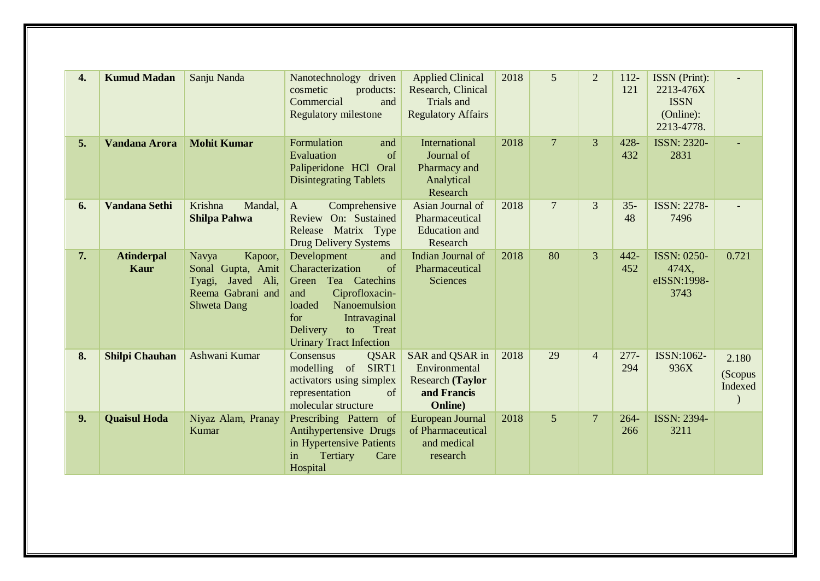| 4. | <b>Kumud Madan</b>               | Sanju Nanda                                                                                              | Nanotechnology<br>driven<br>cosmetic<br>products:<br>Commercial<br>and<br><b>Regulatory milestone</b>                                                                                                         | <b>Applied Clinical</b><br>Research, Clinical<br>Trials and<br><b>Regulatory Affairs</b>      | 2018 | 5              | $\overline{2}$ | $112 -$<br>121 | ISSN (Print):<br>2213-476X<br><b>ISSN</b><br>(Online):<br>2213-4778. |                             |
|----|----------------------------------|----------------------------------------------------------------------------------------------------------|---------------------------------------------------------------------------------------------------------------------------------------------------------------------------------------------------------------|-----------------------------------------------------------------------------------------------|------|----------------|----------------|----------------|----------------------------------------------------------------------|-----------------------------|
| 5. | <b>Vandana Arora</b>             | <b>Mohit Kumar</b>                                                                                       | Formulation<br>and<br>Evaluation<br>of<br>Paliperidone HCl Oral<br><b>Disintegrating Tablets</b>                                                                                                              | International<br>Journal of<br>Pharmacy and<br>Analytical<br>Research                         | 2018 | $\overline{7}$ | 3              | 428-<br>432    | <b>ISSN: 2320-</b><br>2831                                           |                             |
| 6. | <b>Vandana Sethi</b>             | Krishna<br>Mandal,<br><b>Shilpa Pahwa</b>                                                                | Comprehensive<br>A<br>Review On: Sustained<br>Matrix Type<br>Release<br><b>Drug Delivery Systems</b>                                                                                                          | Asian Journal of<br>Pharmaceutical<br><b>Education</b> and<br>Research                        | 2018 | $\overline{7}$ | 3              | $35 -$<br>48   | <b>ISSN: 2278-</b><br>7496                                           |                             |
| 7. | <b>Atinderpal</b><br><b>Kaur</b> | Navya<br>Kapoor,<br>Sonal Gupta, Amit<br>Javed Ali,<br>Tyagi,<br>Reema Gabrani and<br><b>Shweta Dang</b> | Development<br>and<br>of<br>Characterization<br>Tea Catechins<br>Green<br>and<br>Ciprofloxacin-<br>loaded<br>Nanoemulsion<br>for<br>Intravaginal<br>Delivery<br>Treat<br>to<br><b>Urinary Tract Infection</b> | Indian Journal of<br>Pharmaceutical<br><b>Sciences</b>                                        | 2018 | 80             | $\overline{3}$ | 442-<br>452    | <b>ISSN: 0250-</b><br>474X,<br>eISSN:1998-<br>3743                   | 0.721                       |
| 8. | <b>Shilpi Chauhan</b>            | Ashwani Kumar                                                                                            | <b>QSAR</b><br>Consensus<br>modelling of<br>SIRT1<br>activators using simplex<br>representation<br>of<br>molecular structure                                                                                  | SAR and QSAR in<br>Environmental<br><b>Research (Taylor</b><br>and Francis<br><b>Online</b> ) | 2018 | 29             | $\overline{4}$ | $277-$<br>294  | ISSN:1062-<br>936X                                                   | 2.180<br>(Scopus<br>Indexed |
| 9. | <b>Quaisul Hoda</b>              | Niyaz Alam, Pranay<br>Kumar                                                                              | Prescribing Pattern of<br>Antihypertensive Drugs<br>in Hypertensive Patients<br>Tertiary<br>Care<br>in<br>Hospital                                                                                            | European Journal<br>of Pharmaceutical<br>and medical<br>research                              | 2018 | 5              | 7              | $264 -$<br>266 | <b>ISSN: 2394-</b><br>3211                                           |                             |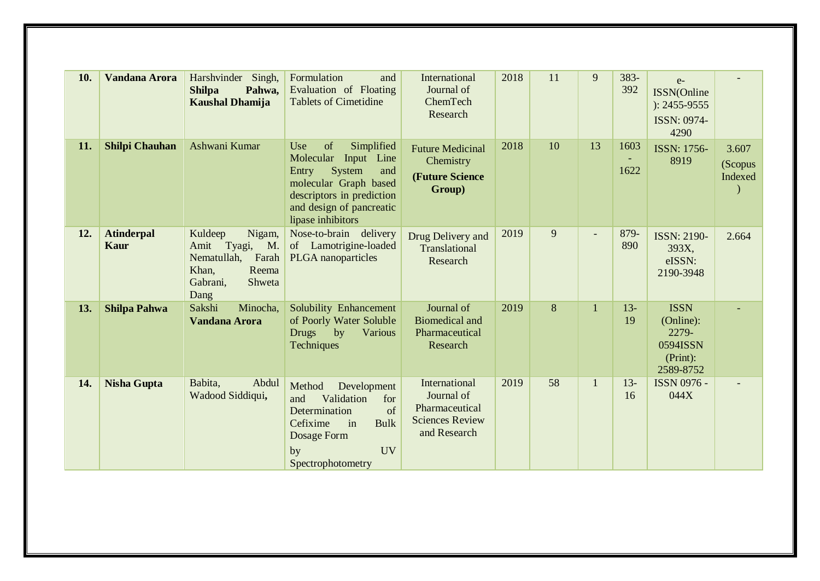| 10. | Vandana Arora                    | Harshvinder<br>Singh,<br><b>Shilpa</b><br>Pahwa,<br><b>Kaushal Dhamija</b>                                     | Formulation<br>and<br>Evaluation of Floating<br><b>Tablets of Cimetidine</b>                                                                                                        | International<br>Journal of<br>ChemTech<br>Research                                     | 2018 | 11 | 9  | 383-<br>392  | $e-$<br>ISSN(Online<br>$): 2455 - 9555$<br>ISSN: 0974-<br>4290         |                             |
|-----|----------------------------------|----------------------------------------------------------------------------------------------------------------|-------------------------------------------------------------------------------------------------------------------------------------------------------------------------------------|-----------------------------------------------------------------------------------------|------|----|----|--------------|------------------------------------------------------------------------|-----------------------------|
| 11. | <b>Shilpi Chauhan</b>            | Ashwani Kumar                                                                                                  | of<br>Use<br>Simplified<br>Molecular<br>Input Line<br>System<br>Entry<br>and<br>molecular Graph based<br>descriptors in prediction<br>and design of pancreatic<br>lipase inhibitors | <b>Future Medicinal</b><br>Chemistry<br>(Future Science<br>Group)                       | 2018 | 10 | 13 | 1603<br>1622 | <b>ISSN: 1756-</b><br>8919                                             | 3.607<br>(Scopus<br>Indexed |
| 12. | <b>Atinderpal</b><br><b>Kaur</b> | Kuldeep<br>Nigam,<br>Amit Tyagi,<br>M.<br>Nematullah,<br>Farah<br>Reema<br>Khan,<br>Shweta<br>Gabrani,<br>Dang | Nose-to-brain delivery<br>of Lamotrigine-loaded<br><b>PLGA</b> nanoparticles                                                                                                        | Drug Delivery and<br>Translational<br>Research                                          | 2019 | 9  |    | 879-<br>890  | <b>ISSN: 2190-</b><br>393X,<br>eISSN:<br>2190-3948                     | 2.664                       |
| 13. | <b>Shilpa Pahwa</b>              | Sakshi<br>Minocha,<br><b>Vandana Arora</b>                                                                     | Solubility Enhancement<br>of Poorly Water Soluble<br><b>Drugs</b><br>by<br>Various<br>Techniques                                                                                    | Journal of<br><b>Biomedical and</b><br>Pharmaceutical<br>Research                       | 2019 | 8  | 1  | $13 -$<br>19 | <b>ISSN</b><br>(Online):<br>2279-<br>0594ISSN<br>(Print):<br>2589-8752 |                             |
| 14. | <b>Nisha Gupta</b>               | Babita,<br>Abdul<br>Wadood Siddiqui,                                                                           | Method<br>Development<br>and<br>Validation<br>for<br>of<br>Determination<br>Cefixime<br>in<br><b>Bulk</b><br>Dosage Form<br><b>UV</b><br>by<br>Spectrophotometry                    | International<br>Journal of<br>Pharmaceutical<br><b>Sciences Review</b><br>and Research | 2019 | 58 |    | $13 -$<br>16 | <b>ISSN 0976 -</b><br>044X                                             |                             |